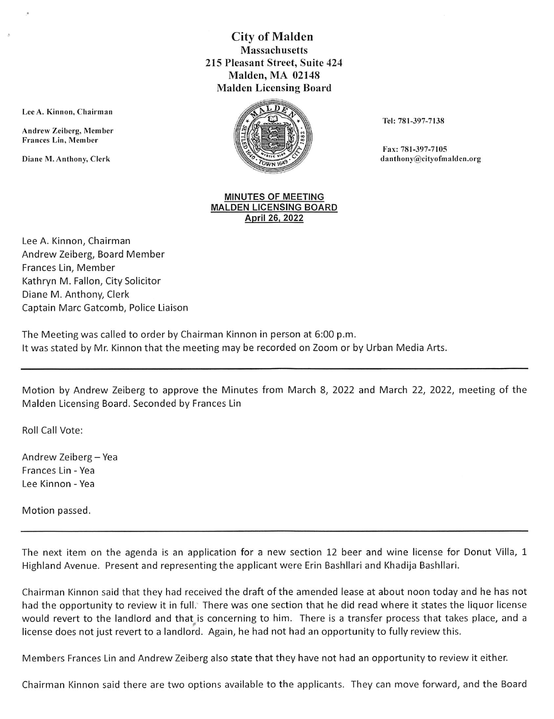## City of Malden **Massachusetts** 215 Pleasant Street, Suite 424 Malden, MA 02148 Malden Licensing Board



Tel: 781-397-7138

Fax: 781-397-7105 Diane M. Anthony, Clerk danthony acity of the contract of the contract of the contract of the contract of the contract of the contract of the contract of the contract of the contract of the contract of the contract of the

## MINUTES OF MEETING MALDEN LICENSING BOARD April 26. 2022

Lee A. Kinnon, Chairman Andrew Zeiberg, Board Member Frances Lin, Member Kathryn M. Fallon, City Solicitor Diane M. Anthony, Clerk Captain MarcGatcomb, Police Liaison

Lee A. Kinnon, Chairman

Andrew Zeiberg, Member Frances Lin, Member

The Meeting was called to order by Chairman Kinnon in person at 6:00 p.m. It was stated by Mr. Kinnon that the meeting may be recorded on Zoom or by Urban Media Arts.

Motion by Andrew Zeiberg to approve the Minutes from March 8, 2022 and March 22, 2022, meeting of the Malden Licensing Board. Seconded by Frances Lin

Roll Call Vote:

Andrew Zeiberg - Yea Frances Lin - Yea Lee Kinnon - Yea

Motion passed.

The next item on the agenda is an application for a new section 12 beer and wine license for Donut Villa, 1 Highland Avenue. Present and representing the applicant were Erin Bashllari and Khadija Bashllari.

Chairman Kinnon said that they had received the draft of the amended lease at about noon today and he has not had the opportunity to review it in full. There was one section that he did read where it states the liquor license would revert to the landlord and that is concerning to him. There is a transfer process that takes place, and a license does not just revert to a landlord. Again, he had not had an opportunity to fully review this.

Members Frances Lin and Andrew Zeiberg also state that they have not had an opportunity to review it either.

Chairman Kinnon said there are two options available to the applicants. They can move forward, and the Board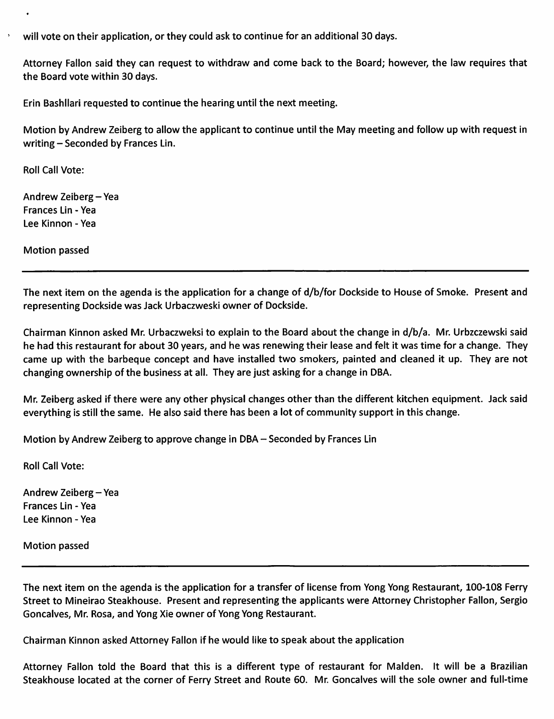will vote on their application, or they could ask to continue for an additional 30 days.

Attorney Fallon said they can request to withdraw and come back to the Board; however, the law requires that the Board vote within 30 days.

Erin Bashllari requested to continue the hearing until the next meeting.

Motion by Andrew Zeiberg to allow the applicant to continue until the May meeting and follow up with request in writing - Seconded by Frances Lin.

Roll Call Vote:

Andrew Zeiberg-Yea Frances Lin - Yea Lee Kinnon - Yea

Motion passed

The next item on the agenda is the application for a change of d/b/for Dockside to House of Smoke. Present and representing Dockside was Jack Urbaczweski owner of Dockside.

Chairman Kinnon asked Mr. Urbaczweksi to explain to the Board about the change in d/b/a. Mr. Urbzczewski said he had this restaurant for about 30 years, and he was renewing their lease and felt it was time for a change. They came up with the barbeque concept and have installed two smokers, painted and cleaned it up. They are not changing ownership of the business at all. They are just asking for a change in DBA.

Mr. Zeiberg asked if there were any other physical changes other than the different kitchen equipment. Jack said everything is still the same. He also said there has been a lot of community support in this change.

Motion by Andrew Zeiberg to approve change in DBA - Seconded by Frances Lin

Roll Call Vote:

Andrew Zeiberg-Yea Frances Lin - Yea Lee Kinnon - Yea

Motion passed

The next item on the agenda is the application for a transfer of license from Yong Yong Restaurant, 100-108 Ferry Street to Mineirao Steakhouse. Present and representing the applicants were Attorney Christopher Fallon, Sergio Goncaives, Mr. Rosa, and Yong Xie owner of Yong Yong Restaurant.

Chairman Kinnon asked Attorney Fallon if he would like to speak about the application

Attorney Fallon told the Board that this is a different type of restaurant for Malden. It will be a Brazilian Steakhouse located at the corner of Ferry Street and Route 60. Mr. Goncaives will the sole owner and full-time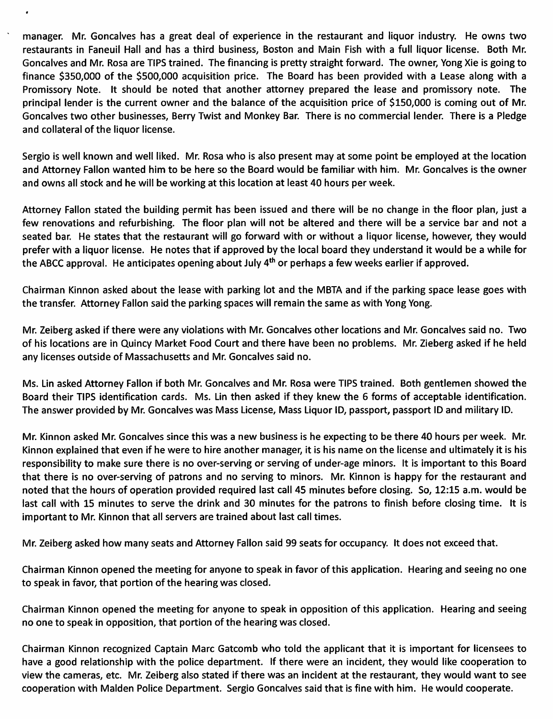manager. Mr. Goncalves has a great deal of experience in the restaurant and liquor industry. He owns two restaurants in Faneuil Hall and has a third business, Boston and Main Fish with a full liquor license. Both Mr. Goncalves and Mr. Rosa are TIPS trained. The financing is pretty straight forward. The owner, Yong Xie is going to finance \$350,000 of the \$500,000 acquisition price. The Board has been provided with a Lease along with a Promissory Note. It should be noted that another attorney prepared the lease and promissory note. The principal lender is the current owner and the balance of the acquisition price of \$150,000 is coming out of Mr. Goncalves two other businesses, Berry Twist and Monkey Bar. There is no commercial lender. There is a Pledge and collateral of the liquor license.

.

Sergio is well known and well liked. Mr. Rosa who is also present may at some point be employed at the location and Attorney Fallon wanted him to be here so the Board would be familiar with him. Mr. Goncalves is the owner and owns all stock and he will be working at this location at least 40 hours per week.

Attorney Fallon stated the building permit has been issued and there will be no change in the floor plan, just a few renovations and refurbishing. The floor plan will not be altered and there will be a service bar and not a seated bar. He states that the restaurant will go forward with or without a liquor license, however, they would prefer with a liquor license. He notes that if approved by the local board they understand it would be a while for the ABCC approval. He anticipates opening about July  $4^{th}$  or perhaps a few weeks earlier if approved.

Chairman Kinnon asked about the lease with parking lot and the MBTA and if the parking space lease goes with the transfer. Attorney Fallon said the parking spaces will remain the same as with Yong Yong.

Mr. Zeiberg asked if there were any violations with Mr. Goncalves other locations and Mr. Goncalves said no. Two of his locations are in Quincy Market Food Court and there have been no problems. Mr. Zieberg asked if he held any licenses outside of Massachusetts and Mr. Goncalves said no.

Ms. Lin asked Attorney Fallon if both Mr. Goncalves and Mr. Rosa were TIPS trained. Both gentlemen showed the Board their TIPS identification cards. Ms. Lin then asked if they knew the 6 forms of acceptable identification. The answer provided by Mr. Goncalves was Mass License, Mass Liquor ID, passport, passport ID and military ID.

Mr. Kinnon asked Mr. Goncalves since this was a new business is he expecting to be there 40 hours per week. Mr. Kinnon explained that even if he were to hire another manager, it is his name on the license and ultimately it is his responsibility to make sure there is no over-serving or serving of under-age minors. It is important to this Board that there is no over-serving of patrons and no serving to minors. Mr. Kinnon is happy for the restaurant and noted that the hours of operation provided required last call 45 minutes before closing. So, 12:15 a.m. would be last call with 15 minutes to serve the drink and 30 minutes for the patrons to finish before closing time. It is important to Mr. Kinnon that ail servers are trained about last call times.

Mr. Zeiberg asked how many seats and Attorney Fallon said 99 seats for occupancy. It does not exceed that.

Chairman Kinnon opened the meeting for anyone to speak in favor of this application. Hearing and seeing no one to speak in favor, that portion of the hearing was closed.

Chairman Kinnon opened the meeting for anyone to speak in opposition of this application. Hearing and seeing no one to speak in opposition, that portion of the hearing was closed.

Chairman Kinnon recognized Captain Marc Gatcomb who told the applicant that it is important for licensees to have a good relationship with the police department. If there were an incident, they would like cooperation to view the cameras, etc. Mr. Zeiberg also stated if there was an incident at the restaurant, they would want to see cooperation with Malden Police Department. Sergio Goncalves said that is fine with him. He would cooperate.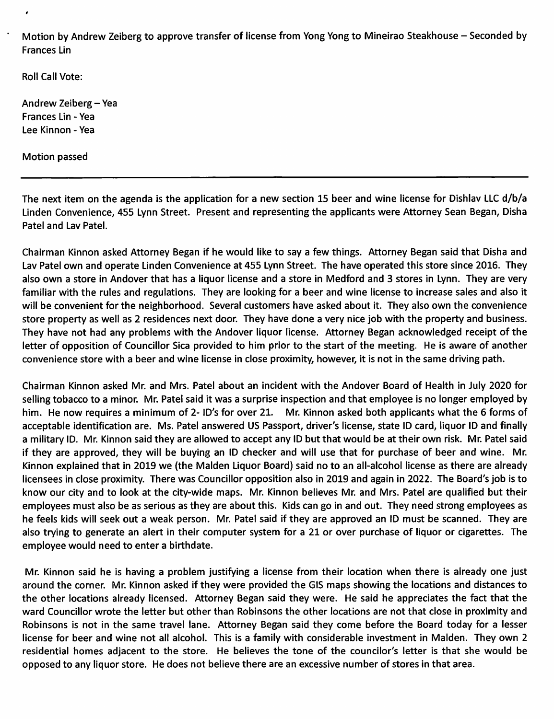Motion by Andrew Zeiberg to approve transfer of license from Yong Yong to Mineirao Steakhouse - Seconded by Frances Lin

Roll Call Vote:

Andrew Zeiberg-Yea Frances Lin - Yea Lee Kinnon - Yea

Motion passed

The next item on the agenda is the application for a new section 15 beer and wine license for Dishlav LLC d/b/a Linden Convenience, 455 Lynn Street. Present and representing the applicants were Attorney Sean Began, Disha Patel and Lav Patel.

Chairman Kinnon asked Attorney Began if he would like to say a few things. Attorney Began said that Disha and Lav Patel own and operate Linden Convenience at 455 Lynn Street. The have operated this store since 2016. They also own a store in Andover that has a liquor license and a store in Medford and 3 stores in Lynn. They are very familiar with the rules and regulations. They are looking for a beer and wine license to increase sales and also it will be convenient for the neighborhood. Several customers have asked about it. They also own the convenience store property as well as 2 residences next door. They have done a very nice job with the property and business. They have not had any problems with the Andover liquor license. Attorney Began acknowledged receipt of the letter of opposition of Councillor Sica provided to him prior to the start of the meeting. He is aware of another convenience store with a beer and wine license in close proximity, however, it is not in the same driving path.

Chairman Kinnon asked Mr. and Mrs. Patel about an incident with the Andover Board of Health in July 2020 for selling tobacco to a minor. Mr. Patel said it was a surprise inspection and that employee is no longer employed by him. He now requires a minimum of 2- ID's for over 21. Mr. Kinnon asked both applicants what the 6 forms of acceptable identification are. Ms. Patel answered US Passport, driver's license, state ID card, liquor ID and finally a military ID. Mr. Kinnon said they are allowed to accept any ID but that would be at their own risk. Mr. Patel said if they are approved, they will be buying an ID checker and will use that for purchase of beer and wine. Mr. Kinnon explained that in 2019 we {the Malden Liquor Board) said no to an all-alcohol license as there are already licensees in close proximity. There was Councillor opposition also in 2019 and again in 2022. The Board's Job is to know our city and to look at the city-wide maps. Mr. Kinnon believes Mr. and Mrs. Patel are qualified but their employees must also be as serious as they are about this. Kids can go in and out. They need strong employees as he feels kids will seek out a weak person. Mr. Patel said if they are approved an ID must be scanned. They are also trying to generate an alert in their computer system for a 21 or over purchase of liquor or cigarettes. The employee would need to enter a birthdate.

Mr. Kinnon said he is having a problem justifying a license from their location when there is already one just around the corner. Mr. Kinnon asked if they were provided the GIS maps showing the locations and distances to the other locations already licensed. Attorney Began said they were. He said he appreciates the fact that the ward Councillor wrote the letter but other than Robinsons the other locations are not that close in proximity and Robinsons is not in the same travel lane. Attorney Began said they come before the Board today for a lesser license for beer and wine not all alcohol. This is a family with considerable investment in Malden. They own 2 residential homes adjacent to the store. He believes the tone of the councilor's letter is that she would be opposed to any liquor store. He does not believe there are an excessive number of stores in that area.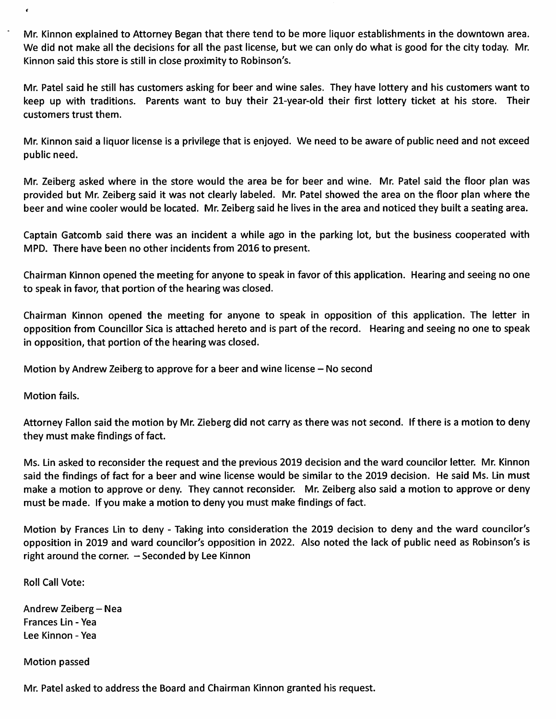Mr. Kinnon explained to Attorney Began that there tend to be more liquor establishments in the downtown area. We did not make all the decisions for all the past license, but we can only do what is good for the city today. Mr. Kinnon said this store is still in close proximity to Robinson's.

Mr. Patel said he still has customers asking for beer and wine sales. They have lottery and his customers want to keep up with traditions. Parents want to buy their 21-year-old their first lottery ticket at his store. Their customers trust them.

Mr. Kinnon said a liquor license is a privilege that is enjoyed. We need to be aware of public need and not exceed public need.

Mr. Zeiberg asked where in the store would the area be for beer and wine. Mr. Patel said the floor plan was provided but Mr. Zeiberg said it was not clearly labeled. Mr. Patel showed the area on the floor plan where the beer and wine cooler would be located. Mr. Zeiberg said he lives in the area and noticed they built a seating area.

Captain Gatcomb said there was an incident a while ago in the parking lot, but the business cooperated with MPD. There have been no other incidents from 2016 to present.

Chairman Kinnon opened the meeting for anyone to speak in favor of this application. Hearing and seeing no one to speak in favor, that portion of the hearing was closed.

Chairman Kinnon opened the meeting for anyone to speak in opposition of this application. The letter in opposition from Councillor Sica is attached hereto and is part of the record. Hearing and seeing no one to speak in opposition, that portion of the hearing was closed.

Motion by Andrew Zeiberg to approve for a beer and wine license – No second

Motion fails.

 $\pmb{\epsilon}$ 

Attorney Fallon said the motion by Mr. Zieberg did not carry as there was not second. If there is a motion to deny they must make findings of fact.

Ms. Lin asked to reconsider the request and the previous 2019 decision and the ward councilor letter. Mr. Kinnon said the findings of fact for a beer and wine license would be similar to the 2019 decision. He said Ms. Lin must make a motion to approve or deny. They cannot reconsider. Mr. Zeiberg also said a motion to approve or deny must be made. If you make a motion to deny you must make findings of fact.

Motion by Frances Lin to deny - Taking into consideration the 2019 decision to deny and the ward councilor's opposition in 2019 and ward councilor's opposition in 2022. Also noted the lack of public need as Robinson's is right around the corner.  $-$  Seconded by Lee Kinnon

Roll Call Vote:

Andrew Zeiberg - Nea Frances Lin - Yea Lee Kinnon - Yea

Motion passed

Mr. Patel asked to address the Board and Chairman Kinnon granted his request.